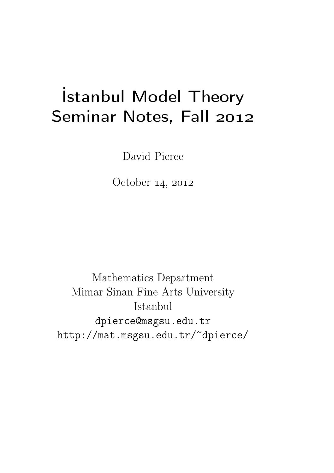# İstanbul Model Theory Seminar Notes, Fall 2012

David Pierce

October 14, 2012

Mathematics Department Mimar Sinan Fine Arts University Istanbul dpierce@msgsu.edu.tr http://mat.msgsu.edu.tr/~dpierce/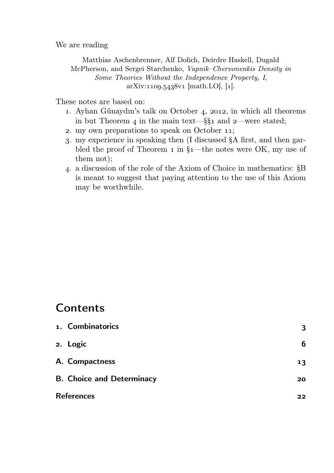We are reading

Matthias Aschenbrenner, Alf Dolich, Deirdre Haskell, Dugald McPherson, and Sergei Starchenko, Vapnik–Chervonenkis Density in Some Theories Without the Independence Property, I,  $arXiv:1109.5438v1$  [math.LO], [1].

These notes are based on:

- 1. Ayhan Günaydın's talk on October 4, 2012, in which all theorems in but Theorem 4 in the main text—§§1 and 2—were stated;
- 2. my own preparations to speak on October 11;
- . my experience in speaking then (I discussed §A first, and then garbled the proof of Theorem  $\overline{1}$  in  $\xi_1$ —the notes were OK, my use of them not);
- . a discussion of the role of the Axiom of Choice in mathematics: §B is meant to suggest that paying attention to the use of this Axiom may be worthwhile.

# **Contents**

| 1. Combinatorics                 | 3  |
|----------------------------------|----|
| 2. Logic                         | 6  |
| A. Compactness                   | 13 |
| <b>B. Choice and Determinacy</b> | 20 |
| <b>References</b>                | 22 |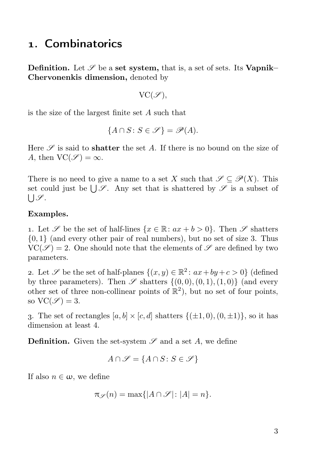#### . Combinatorics

**Definition.** Let  $\mathscr S$  be a set system, that is, a set of sets. Its Vapnik– Chervonenkis dimension, denoted by

$$
\text{VC}(\mathscr{S}),
$$

is the size of the largest finite set A such that

$$
\{A \cap S : S \in \mathscr{S}\} = \mathscr{P}(A).
$$

Here  $\mathscr S$  is said to **shatter** the set A. If there is no bound on the size of A, then  $VC(\mathscr{S}) = \infty$ .

There is no need to give a name to a set X such that  $\mathscr{S} \subseteq \mathscr{P}(X)$ . This set could just be  $\bigcup \mathscr{S}$ . Any set that is shattered by  $\mathscr{S}$  is a subset of  $\bigcup \mathscr{S}.$ 

#### Examples.

1. Let  $\mathscr S$  be the set of half-lines  $\{x \in \mathbb R \colon ax + b > 0\}$ . Then  $\mathscr S$  shatters {0, 1} (and every other pair of real numbers), but no set of size 3. Thus  $VC(\mathscr{S}) = 2$ . One should note that the elements of  $\mathscr{S}$  are defined by two parameters.

2. Let  $\mathscr S$  be the set of half-planes  $\{(x, y) \in \mathbb{R}^2 \colon ax + by + c > 0\}$  (defined by three parameters). Then  $\mathscr S$  shatters  $\{(0,0), (0, 1), (1, 0)\}$  (and every other set of three non-collinear points of  $\mathbb{R}^2$ ), but no set of four points, so  $VC(\mathscr{S})=3$ .

3. The set of rectangles  $[a, b] \times [c, d]$  shatters  $\{(\pm 1, 0), (0, \pm 1)\}$ , so it has dimension at least 4.

**Definition.** Given the set-system  $\mathscr S$  and a set A, we define

$$
A \cap \mathscr{S} = \{A \cap S : S \in \mathscr{S}\}
$$

If also  $n \in \omega$ , we define

$$
\pi_{\mathscr{S}}(n) = \max\{|A \cap \mathscr{S}| \colon |A| = n\}.
$$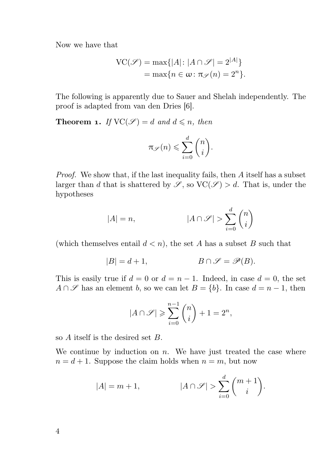Now we have that

$$
VC(\mathscr{S}) = \max\{|A|: |A \cap \mathscr{S}| = 2^{|A|}\}
$$
  
= 
$$
\max\{n \in \omega: \pi_{\mathscr{S}}(n) = 2^n\}.
$$

The following is apparently due to Sauer and Shelah independently. The proof is adapted from van den Dries [6].

**Theorem 1.** If  $VC(\mathcal{S}) = d$  and  $d \le n$ , then

$$
\pi_{\mathscr{S}}(n) \leqslant \sum_{i=0}^{d} \binom{n}{i}.
$$

Proof. We show that, if the last inequality fails, then A itself has a subset larger than d that is shattered by  $\mathscr{S}$ , so  $\text{VC}(\mathscr{S}) > d$ . That is, under the hypotheses

$$
|A|=n, \hspace{1.5cm} |A\cap \mathscr{S}|>\sum_{i=0}^d \binom{n}{i}
$$

(which themselves entail  $d < n$ ), the set A has a subset B such that

$$
|B| = d + 1, \qquad B \cap \mathcal{S} = \mathcal{P}(B).
$$

This is easily true if  $d = 0$  or  $d = n - 1$ . Indeed, in case  $d = 0$ , the set  $A \cap \mathscr{S}$  has an element b, so we can let  $B = \{b\}$ . In case  $d = n - 1$ , then

$$
|A \cap \mathscr{S}| \geqslant \sum_{i=0}^{n-1} \binom{n}{i} + 1 = 2^n,
$$

so A itself is the desired set B.

We continue by induction on  $n$ . We have just treated the case where  $n = d + 1$ . Suppose the claim holds when  $n = m$ , but now

$$
|A| = m + 1, \qquad |A \cap \mathcal{S}| > \sum_{i=0}^{d} \binom{m+1}{i}.
$$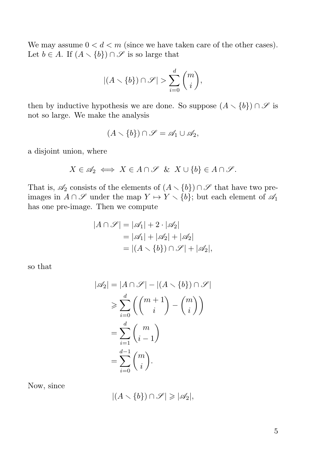We may assume  $0 < d < m$  (since we have taken care of the other cases). Let  $b \in A$ . If  $(A \setminus \{b\}) \cap \mathscr{S}$  is so large that

$$
|(A\smallsetminus\{b\})\cap\mathscr{S}|>\sum_{i=0}^d\binom{m}{i},
$$

then by inductive hypothesis we are done. So suppose  $(A \setminus \{b\}) \cap \mathscr{S}$  is not so large. We make the analysis

$$
(A \setminus \{b\}) \cap \mathscr{S} = \mathscr{A}_1 \cup \mathscr{A}_2,
$$

a disjoint union, where

$$
X \in \mathscr{A}_2 \iff X \in A \cap \mathscr{S} \& X \cup \{b\} \in A \cap \mathscr{S}.
$$

That is,  $\mathscr{A}_2$  consists of the elements of  $(A \setminus \{b\}) \cap \mathscr{S}$  that have two preimages in  $A \cap \mathscr{S}$  under the map  $Y \mapsto Y \setminus \{b\}$ ; but each element of  $\mathscr{A}_1$ has one pre-image. Then we compute

$$
|A \cap \mathcal{S}| = |\mathscr{A}_1| + 2 \cdot |\mathscr{A}_2|
$$
  
=  $|\mathscr{A}_1| + |\mathscr{A}_2| + |\mathscr{A}_2|$   
=  $|(A \setminus \{b\}) \cap \mathcal{S}| + |\mathscr{A}_2|,$ 

so that

$$
|\mathscr{A}_2| = |A \cap \mathscr{S}| - |(A \setminus \{b\}) \cap \mathscr{S}|
$$
  
\n
$$
\geq \sum_{i=0}^d \left( \binom{m+1}{i} - \binom{m}{i} \right)
$$
  
\n
$$
= \sum_{i=1}^d \binom{m}{i-1}
$$
  
\n
$$
= \sum_{i=0}^{d-1} \binom{m}{i}.
$$

Now, since

$$
|(A \setminus \{b\}) \cap \mathscr{S}| \geqslant |\mathscr{A}_2|,
$$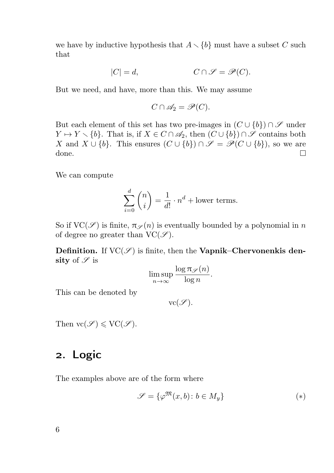we have by inductive hypothesis that  $A \setminus \{b\}$  must have a subset C such that

$$
|C| = d, \qquad C \cap \mathcal{S} = \mathcal{P}(C).
$$

But we need, and have, more than this. We may assume

$$
C \cap \mathscr{A}_2 = \mathscr{P}(C).
$$

But each element of this set has two pre-images in  $(C \cup \{b\}) \cap \mathscr{S}$  under  $Y \mapsto Y \setminus \{b\}.$  That is, if  $X \in C \cap \mathscr{A}_2$ , then  $(C \cup \{b\}) \cap \mathscr{S}$  contains both X and  $X \cup \{b\}$ . This ensures  $(C \cup \{b\}) \cap \mathscr{S} = \mathscr{P}(C \cup \{b\})$ , so we are done.  $\Box$ 

We can compute

$$
\sum_{i=0}^{d} \binom{n}{i} = \frac{1}{d!} \cdot n^d + \text{lower terms.}
$$

So if  $VC(\mathscr{S})$  is finite,  $\pi_{\mathscr{S}}(n)$  is eventually bounded by a polynomial in n of degree no greater than  $VC(\mathscr{S})$ .

**Definition.** If  $VC(\mathscr{S})$  is finite, then the **Vapnik–Chervonenkis den**sity of  $\mathscr S$  is

$$
\limsup_{n \to \infty} \frac{\log \pi_{\mathscr{S}}(n)}{\log n}.
$$

This can be denoted by

 $vc(\mathscr{S}).$ 

Then  $vc(\mathcal{S}) \leqslant VC(\mathcal{S})$ .

## . Logic

The examples above are of the form where

$$
\mathcal{S} = \{ \varphi^{\mathfrak{M}}(x, b) \colon b \in M_y \}
$$
 (\*)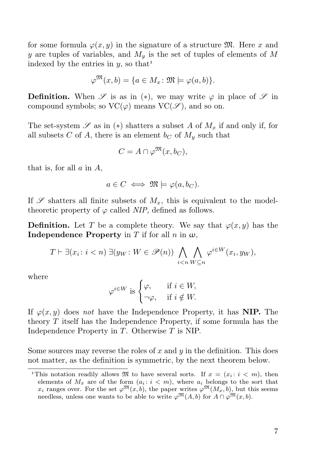for some formula  $\varphi(x, y)$  in the signature of a structure M. Here x and y are tuples of variables, and  $M<sub>u</sub>$  is the set of tuples of elements of M indexed by the entries in  $y$ , so that<sup>1</sup>

$$
\varphi^{\mathfrak{M}}(x,b) = \{ a \in M_x \colon \mathfrak{M} \models \varphi(a,b) \}.
$$

**Definition.** When  $\mathscr S$  is as in (\*), we may write  $\varphi$  in place of  $\mathscr S$  in compound symbols; so  $VC(\varphi)$  means  $VC(\varphi)$ , and so on.

The set-system  $\mathscr S$  as in (\*) shatters a subset A of  $M_x$  if and only if, for all subsets C of A, there is an element  $b<sub>C</sub>$  of  $M<sub>y</sub>$  such that

$$
C = A \cap \varphi^{\mathfrak{M}}(x, b_C),
$$

that is, for all  $a$  in  $A$ ,

$$
a \in C \iff \mathfrak{M} \models \varphi(a, b_C).
$$

If  $\mathscr S$  shatters all finite subsets of  $M_x$ , this is equivalent to the modeltheoretic property of  $\varphi$  called NIP, defined as follows.

**Definition.** Let T be a complete theory. We say that  $\varphi(x, y)$  has the **Independence Property** in T if for all  $n$  in  $\omega$ .

$$
T \vdash \exists (x_i \colon i < n) \; \exists (y_W \colon W \in \mathscr{P}(n)) \; \bigwedge_{i < n} \bigwedge_{W \subseteq n} \varphi^{i \in W}(x_i, y_W),
$$

where

$$
\varphi^{i\in W} \text{ is } \begin{cases} \varphi, & \text{if } i \in W, \\ \neg \varphi, & \text{if } i \notin W. \end{cases}
$$

If  $\varphi(x, y)$  does not have the Independence Property, it has NIP. The theory  $T$  itself has the Independence Property, if some formula has the Independence Property in T. Otherwise T is NIP.

Some sources may reverse the roles of  $x$  and  $y$  in the definition. This does not matter, as the definition is symmetric, by the next theorem below.

<sup>&</sup>lt;sup>1</sup>This notation readily allows  $\mathfrak{M}$  to have several sorts. If  $x = (x_i : i < m)$ , then elements of  $M_x$  are of the form  $(a_i : i < m)$ , where  $a_i$  belongs to the sort that  $x_i$  ranges over. For the set  $\varphi^{\mathfrak{M}}(x, b)$ , the paper writes  $\varphi^{\mathfrak{M}}(M_x, b)$ , but this seems needless, unless one wants to be able to write  $\varphi^{\mathfrak{M}}(A, b)$  for  $A \cap \varphi^{\mathfrak{M}}(x, b)$ .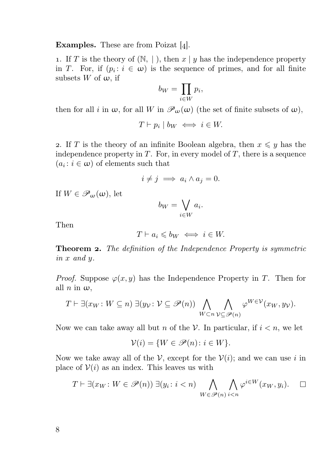**Examples.** These are from Poizat  $[4]$ .

1. If T is the theory of  $(N, |)$ , then  $x | y$  has the independence property in T. For, if  $(p_i: i \in \omega)$  is the sequence of primes, and for all finite subsets W of  $\omega$ , if

$$
b_W = \prod_{i \in W} p_i,
$$

then for all i in  $\omega$ , for all W in  $\mathscr{P}_{\omega}(\omega)$  (the set of finite subsets of  $\omega$ ),

$$
T \vdash p_i \mid b_W \iff i \in W.
$$

2. If T is the theory of an infinite Boolean algebra, then  $x \leq y$  has the independence property in  $T$ . For, in every model of  $T$ , there is a sequence  $(a_i : i \in \omega)$  of elements such that

$$
i \neq j \implies a_i \wedge a_j = 0.
$$

If  $W \in \mathscr{P}_{\omega}(\omega)$ , let

$$
b_W = \bigvee_{i \in W} a_i.
$$

Then

$$
T \vdash a_i \leqslant b_W \iff i \in W.
$$

**Theorem 2.** The definition of the Independence Property is symmetric in x and y.

*Proof.* Suppose  $\varphi(x, y)$  has the Independence Property in T. Then for all  $n$  in  $\omega$ ,

$$
T \vdash \exists (x_W \colon W \subseteq n) \; \exists (y_{\mathcal{V}} \colon \mathcal{V} \subseteq \mathscr{P}(n)) \; \bigwedge_{W \subset n} \bigwedge_{\mathcal{V} \subseteq \mathscr{P}(n)} \varphi^{W \in \mathcal{V}}(x_W, y_{\mathcal{V}}).
$$

Now we can take away all but *n* of the *V*. In particular, if  $i < n$ , we let

$$
\mathcal{V}(i) = \{ W \in \mathcal{P}(n) \colon i \in W \}.
$$

Now we take away all of the  $\mathcal V$ , except for the  $\mathcal V(i)$ ; and we can use i in place of  $V(i)$  as an index. This leaves us with

$$
T \vdash \exists (x_W : W \in \mathscr{P}(n)) \exists (y_i : i < n) \bigwedge_{W \in \mathscr{P}(n)} \bigwedge_{i < n} \varphi^{i \in W}(x_W, y_i). \quad \Box
$$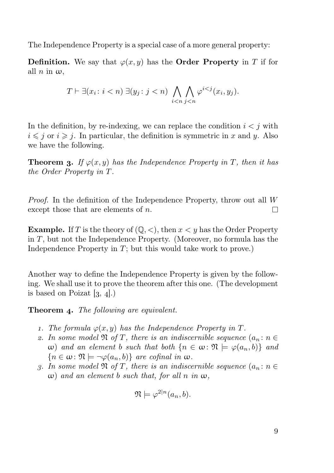The Independence Property is a special case of a more general property:

**Definition.** We say that  $\varphi(x, y)$  has the **Order Property** in T if for all  $n$  in  $\omega$ ,

$$
T \vdash \exists (x_i \colon i < n) \; \exists (y_j \colon j < n) \; \bigwedge_{i < n} \bigwedge_{j < n} \varphi^{i < j}(x_i, y_j).
$$

In the definition, by re-indexing, we can replace the condition  $i < j$  with  $i \leq j$  or  $i \geq j$ . In particular, the definition is symmetric in x and y. Also we have the following.

**Theorem 3.** If  $\varphi(x, y)$  has the Independence Property in T, then it has the Order Property in T.

Proof. In the definition of the Independence Property, throw out all W except those that are elements of n. П

**Example.** If T is the theory of  $(0, \leq)$ , then  $x \leq y$  has the Order Property in T, but not the Independence Property. (Moreover, no formula has the Independence Property in  $T$ ; but this would take work to prove.)

Another way to define the Independence Property is given by the following. We shall use it to prove the theorem after this one. (The development is based on Poizat  $[3, 4]$ .)

**Theorem 4.** The following are equivalent.

- 1. The formula  $\varphi(x, y)$  has the Independence Property in T.
- 2. In some model  $\mathfrak{N}$  of T, there is an indiscernible sequence  $(a_n : n \in \mathbb{N})$ w) and an element b such that both  $\{n \in \omega : \mathfrak{N} \models \varphi(a_n, b)\}\$  and  ${n \in \omega \colon \mathfrak{N} \models \neg \varphi(a_n, b)}$  are cofinal in  $\omega$ .
- 3. In some model  $\mathfrak N$  of T, there is an indiscernible sequence  $(a_n : n \in$ ω) and an element b such that, for all n in  $ω$ ,

$$
\mathfrak{N} \models \varphi^{2|n}(a_n, b).
$$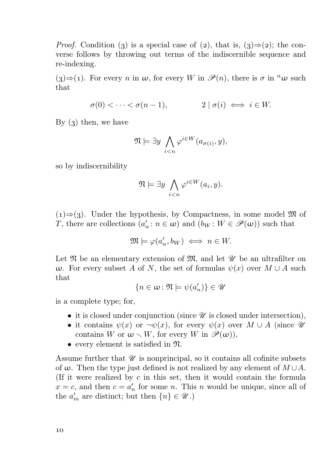*Proof.* Condition (3) is a special case of (2), that is,  $(3) \Rightarrow (2)$ ; the converse follows by throwing out terms of the indiscernible sequence and re-indexing.

(3)⇒(1). For every n in  $\omega$ , for every W in  $\mathscr{P}(n)$ , there is  $\sigma$  in <sup>n</sup> $\omega$  such that

$$
\sigma(0) < \cdots < \sigma(n-1), \qquad \qquad 2 \mid \sigma(i) \iff i \in W.
$$

By  $(3)$  then, we have

$$
\mathfrak{N} \models \exists y \bigwedge_{i < n} \varphi^{i \in W}(a_{\sigma(i)}, y),
$$

so by indiscernibility

$$
\mathfrak{N} \models \exists y \bigwedge_{i < n} \varphi^{i \in W}(a_i, y).
$$

 $(1) \Rightarrow (3)$ . Under the hypothesis, by Compactness, in some model M of T, there are collections  $(a'_n : n \in \omega)$  and  $(b_W : W \in \mathscr{P}(\omega))$  such that

$$
\mathfrak{M} \models \varphi(a'_n, b_W) \iff n \in W.
$$

Let  $\mathfrak N$  be an elementary extension of  $\mathfrak M$ , and let  $\mathscr U$  be an ultrafilter on  $ω$ . For every subset A of N, the set of formulas  $ψ(x)$  over  $M ∪ A$  such that

$$
\{n\in\omega\colon\mathfrak{N}\models\psi(a'_n)\}\in\mathscr{U}
$$

is a complete type; for,

- it is closed under conjunction (since  $\mathscr U$  is closed under intersection),
- it contains  $\psi(x)$  or  $\neg \psi(x)$ , for every  $\psi(x)$  over  $M \cup A$  (since  $\mathscr U$ contains W or  $\omega \setminus W$ , for every W in  $\mathscr{P}(\omega)$ ),
- every element is satisfied in N.

Assume further that  $\mathscr U$  is nonprincipal, so it contains all cofinite subsets of  $\omega$ . Then the type just defined is not realized by any element of  $M \cup A$ . (If it were realized by  $c$  in this set, then it would contain the formula  $x = c$ , and then  $c = a'_n$  for some *n*. This *n* would be unique, since all of the  $a'_m$  are distinct; but then  $\{n\} \in \mathcal{U}$ .)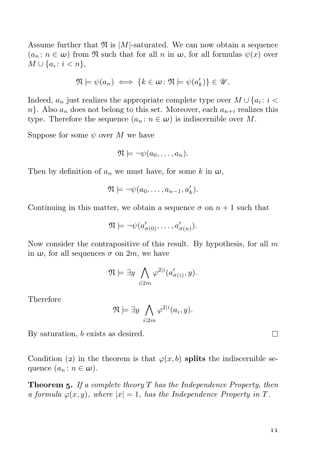Assume further that  $\mathfrak{N}$  is  $|M|$ -saturated. We can now obtain a sequence  $(a_n : n \in \omega)$  from  $\mathfrak N$  such that for all n in  $\omega$ , for all formulas  $\psi(x)$  over  $M \cup \{a_i : i < n\},\$ 

$$
\mathfrak{N}\models\psi(a_n)\iff\{k\in\omega\colon\mathfrak{N}\models\psi(a'_k)\}\in\mathscr{U}.
$$

Indeed,  $a_n$  just realizes the appropriate complete type over  $M \cup \{a_i : i <$  $n$ . Also  $a_n$  does not belong to this set. Moreover, each  $a_{n+i}$  realizes this type. Therefore the sequence  $(a_n : n \in \omega)$  is indiscernible over M.

Suppose for some  $\psi$  over M we have

$$
\mathfrak{N}\models \neg\psi(a_0,\ldots,a_n).
$$

Then by definition of  $a_n$  we must have, for some k in  $\omega$ ,

$$
\mathfrak{N}\models \neg\psi(a_0,\ldots,a_{n-1},a'_k).
$$

Continuing in this matter, we obtain a sequence  $\sigma$  on  $n+1$  such that

$$
\mathfrak{N} \models \neg \psi(a'_{\sigma(0)}, \dots, a'_{\sigma(n)}).
$$

Now consider the contrapositive of this result. By hypothesis, for all  $m$ in  $\omega$ , for all sequences  $\sigma$  on  $2m$ , we have

$$
\mathfrak{N} \models \exists y \bigwedge_{i \mid 2m} \varphi^{2|i}(a'_{\sigma(i)}, y).
$$

Therefore

 $\mathfrak{N} \models \exists y \;\; \bigwedge$  $i|2m$  $\varphi^{2|i}(a_i,y).$ 

By saturation, b exists as desired.

Condition (2) in the theorem is that  $\varphi(x, b)$  splits the indiscernible sequence  $(a_n : n \in \omega)$ .

**Theorem 5.** If a complete theory  $T$  has the Independence Property, then a formula  $\varphi(x, y)$ , where  $|x| = 1$ , has the Independence Property in T.

 $\Box$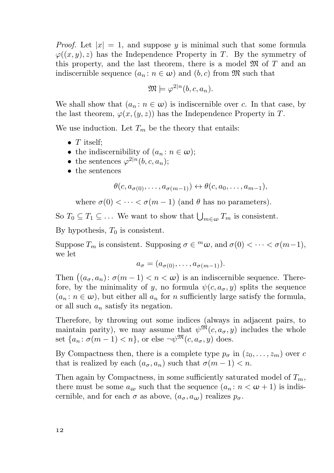*Proof.* Let  $|x| = 1$ , and suppose y is minimal such that some formula  $\varphi((x, y), z)$  has the Independence Property in T. By the symmetry of this property, and the last theorem, there is a model  $\mathfrak{M}$  of  $T$  and an indiscernible sequence  $(a_n : n \in \omega)$  and  $(b, c)$  from  $\mathfrak{M}$  such that

$$
\mathfrak{M} \models \varphi^{2|n}(b,c,a_n).
$$

We shall show that  $(a_n : n \in \omega)$  is indiscernible over c. In that case, by the last theorem,  $\varphi(x,(y,z))$  has the Independence Property in T.

We use induction. Let  $T_m$  be the theory that entails:

- $T$  itself;
- the indiscernibility of  $(a_n : n \in \omega);$
- the sentences  $\varphi^{2|n}(b, c, a_n);$
- the sentences

$$
\theta(c, a_{\sigma(0)}, \ldots, a_{\sigma(m-1)}) \leftrightarrow \theta(c, a_0, \ldots, a_{m-1}),
$$

where  $\sigma(0) < \cdots < \sigma(m-1)$  (and  $\theta$  has no parameters).

So  $T_0 \subseteq T_1 \subseteq \ldots$  We want to show that  $\bigcup_{m \in \omega} T_m$  is consistent.

By hypothesis,  $T_0$  is consistent.

Suppose  $T_m$  is consistent. Supposing  $\sigma \in {}^m\omega$ , and  $\sigma(0) < \cdots < \sigma(m-1)$ , we let

$$
a_{\sigma} = (a_{\sigma(0)}, \ldots, a_{\sigma(m-1)}).
$$

Then  $((a_{\sigma}, a_n): \sigma(m-1) < n < \omega)$  is an indiscernible sequence. Therefore, by the minimality of y, no formula  $\psi(c, a_{\sigma}, y)$  splits the sequence  $(a_n : n \in \omega)$ , but either all  $a_n$  for n sufficiently large satisfy the formula, or all such  $a_n$  satisfy its negation.

Therefore, by throwing out some indices (always in adjacent pairs, to maintain parity), we may assume that  $\psi^{\mathfrak{M}}(c, a_{\sigma}, y)$  includes the whole set  $\{a_n: \sigma(m-1) < n\}$ , or else  $\neg\psi^{\mathfrak{M}}(c, a_{\sigma}, y)$  does.

By Compactness then, there is a complete type  $p_{\sigma}$  in  $(z_0, \ldots, z_m)$  over c that is realized by each  $(a_{\sigma}, a_n)$  such that  $\sigma(m-1) < n$ .

Then again by Compactness, in some sufficiently saturated model of  $T_m$ , there must be some  $a_{\omega}$  such that the sequence  $(a_n : n < \omega + 1)$  is indiscernible, and for each  $\sigma$  as above,  $(a_{\sigma}, a_{\omega})$  realizes  $p_{\sigma}$ .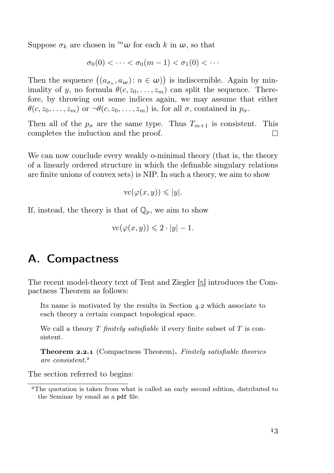Suppose  $\sigma_k$  are chosen in  $^m\omega$  for each k in  $\omega$ , so that

$$
\sigma_0(0) < \cdots < \sigma_0(m-1) < \sigma_1(0) < \cdots
$$

Then the sequence  $((a_{\sigma_n}, a_{\omega}) : n \in \omega))$  is indiscernible. Again by minimality of y, no formula  $\theta(c, z_0, \ldots, z_m)$  can split the sequence. Therefore, by throwing out some indices again, we may assume that either  $\theta(c, z_0, \ldots, z_m)$  or  $\neg \theta(c, z_0, \ldots, z_m)$  is, for all  $\sigma$ , contained in  $p_{\sigma}$ .

Then all of the  $p_{\sigma}$  are the same type. Thus  $T_{m+1}$  is consistent. This completes the induction and the proof.  $\Box$ 

We can now conclude every weakly o-minimal theory (that is, the theory of a linearly ordered structure in which the definable singulary relations are finite unions of convex sets) is NIP. In such a theory, we aim to show

$$
\operatorname{vc}(\varphi(x,y)) \leqslant |y|.
$$

If, instead, the theory is that of  $\mathbb{Q}_p$ , we aim to show

$$
\operatorname{vc}(\varphi(x,y)) \leq 2 \cdot |y| - 1.
$$

#### A. Compactness

The recent model-theory text of Tent and Ziegler [5] introduces the Compactness Theorem as follows:

Its name is motivated by the results in Section 4.2 which associate to each theory a certain compact topological space.

We call a theory  $T$  finitely satisfiable if every finite subset of  $T$  is consistent.

Theorem 2.2.1 (Compactness Theorem). Finitely satisfiable theories are consistent.

The section referred to begins:

The quotation is taken from what is called an early second edition, distributed to the Seminar by email as a pdf file.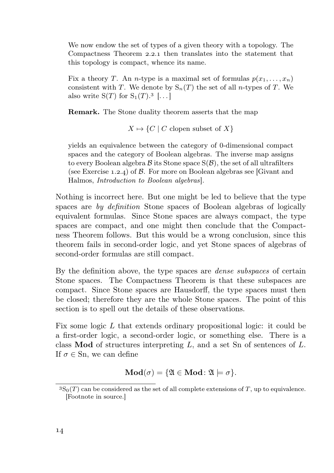We now endow the set of types of a given theory with a topology. The Compactness Theorem  $2.2.1$  then translates into the statement that this topology is compact, whence its name.

Fix a theory T. An *n*-type is a maximal set of formulas  $p(x_1, \ldots, x_n)$ consistent with T. We denote by  $S_n(T)$  the set of all *n*-types of T. We also write  $S(T)$  for  $S_1(T).^3$  [...]

Remark. The Stone duality theorem asserts that the map

 $X \mapsto \{C \mid C \text{ clone subset of } X\}$ 

yields an equivalence between the category of 0-dimensional compact spaces and the category of Boolean algebras. The inverse map assigns to every Boolean algebra  $\mathcal B$  its Stone space  $S(\mathcal B)$ , the set of all ultrafilters (see Exercise 1.2.4) of  $\beta$ . For more on Boolean algebras see [Givant and Halmos, Introduction to Boolean algebras].

Nothing is incorrect here. But one might be led to believe that the type spaces are by definition Stone spaces of Boolean algebras of logically equivalent formulas. Since Stone spaces are always compact, the type spaces are compact, and one might then conclude that the Compactness Theorem follows. But this would be a wrong conclusion, since this theorem fails in second-order logic, and yet Stone spaces of algebras of second-order formulas are still compact.

By the definition above, the type spaces are *dense subspaces* of certain Stone spaces. The Compactness Theorem is that these subspaces are compact. Since Stone spaces are Hausdorff, the type spaces must then be closed; therefore they are the whole Stone spaces. The point of this section is to spell out the details of these observations.

Fix some logic L that extends ordinary propositional logic: it could be a first-order logic, a second-order logic, or something else. There is a class **Mod** of structures interpreting  $L$ , and a set Sn of sentences of  $L$ . If  $\sigma \in \text{Sn}$ , we can define

$$
\mathbf{Mod}(\sigma) = \{ \mathfrak{A} \in \mathbf{Mod} \colon \mathfrak{A} \models \sigma \}.
$$

 ${}^{3}S_{0}(T)$  can be considered as the set of all complete extensions of T, up to equivalence. [Footnote in source.]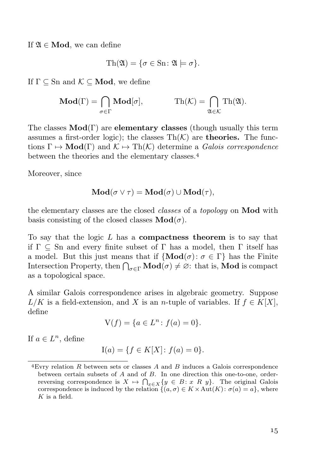If  $\mathfrak{A} \in \mathbf{Mod}$ , we can define

$$
\mathrm{Th}(\mathfrak{A}) = \{ \sigma \in \mathrm{Sn} \colon \mathfrak{A} \models \sigma \}.
$$

If  $\Gamma \subset \text{Sn}$  and  $\mathcal{K} \subset \textbf{Mod}$ , we define

$$
\mathbf{Mod}(\Gamma) = \bigcap_{\sigma \in \Gamma} \mathbf{Mod}[\sigma], \qquad \qquad \mathrm{Th}(\mathcal{K}) = \bigcap_{\mathfrak{A} \in \mathcal{K}} \mathrm{Th}(\mathfrak{A}).
$$

The classes  $\text{Mod}(\Gamma)$  are **elementary classes** (though usually this term assumes a first-order logic); the classes  $\text{Th}(\mathcal{K})$  are **theories.** The functions  $\Gamma \mapsto \text{Mod}(\Gamma)$  and  $\mathcal{K} \mapsto \text{Th}(\mathcal{K})$  determine a *Galois correspondence* between the theories and the elementary classes.

Moreover, since

$$
\mathbf{Mod}(\sigma \vee \tau) = \mathbf{Mod}(\sigma) \cup \mathbf{Mod}(\tau),
$$

the elementary classes are the closed classes of a topology on Mod with basis consisting of the closed classes  $\text{Mod}(\sigma)$ .

To say that the logic  $L$  has a **compactness theorem** is to say that if  $\Gamma \subset \text{Sn}$  and every finite subset of  $\Gamma$  has a model, then  $\Gamma$  itself has a model. But this just means that if  ${Mod(\sigma) : \sigma \in \Gamma}$  has the Finite Intersection Property, then  $\bigcap_{\sigma \in \Gamma} \mathbf{Mod}(\sigma) \neq \emptyset$ : that is, **Mod** is compact as a topological space.

A similar Galois correspondence arises in algebraic geometry. Suppose  $L/K$  is a field-extension, and X is an n-tuple of variables. If  $f \in K[X]$ , define

$$
V(f) = \{ a \in L^n : f(a) = 0 \}.
$$

If  $a \in L^n$ , define

$$
I(a) = \{ f \in K[X] \colon f(a) = 0 \}.
$$

Evry relation R between sets or classes A and B induces a Galois correspondence between certain subsets of A and of B. In one direction this one-to-one, orderreversing correspondence is  $X \mapsto \bigcap_{x \in X} \{y \in B : x \in R \}$ . The original Galois correspondence is induced by the relation  $\{(a, \sigma) \in K \times \text{Aut}(K): \sigma(a) = a\}$ , where  $K$  is a field.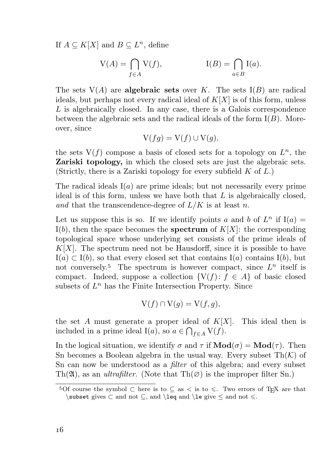If  $A \subseteq K[X]$  and  $B \subseteq L^n$ , define

$$
V(A) = \bigcap_{f \in A} V(f), \qquad I(B) = \bigcap_{a \in B} I(a).
$$

The sets  $V(A)$  are **algebraic sets** over K. The sets  $I(B)$  are radical ideals, but perhaps not every radical ideal of  $K[X]$  is of this form, unless L is algebraically closed. In any case, there is a Galois correspondence between the algebraic sets and the radical ideals of the form  $I(B)$ . Moreover, since

$$
V(fg) = V(f) \cup V(g),
$$

the sets  $V(f)$  compose a basis of closed sets for a topology on  $L<sup>n</sup>$ , the Zariski topology, in which the closed sets are just the algebraic sets. (Strictly, there is a Zariski topology for every subfield  $K$  of  $L$ .)

The radical ideals  $I(a)$  are prime ideals; but not necessarily every prime ideal is of this form, unless we have both that  $L$  is algebraically closed, and that the transcendence-degree of  $L/K$  is at least n.

Let us suppose this is so. If we identify points a and b of  $L^n$  if  $I(a) =$  $I(b)$ , then the space becomes the **spectrum** of  $K[X]$ : the corresponding topological space whose underlying set consists of the prime ideals of  $K[X]$ . The spectrum need not be Hausdorff, since it is possible to have  $I(a) \subset I(b)$ , so that every closed set that contains  $I(a)$  contains  $I(b)$ , but not conversely.<sup>5</sup> The spectrum is however compact, since  $L^n$  itself is compact. Indeed, suppose a collection  $\{V(f): f \in A\}$  of basic closed subsets of  $L^n$  has the Finite Intersection Property. Since

$$
V(f) \cap V(g) = V(f, g),
$$

the set A must generate a proper ideal of  $K[X]$ . This ideal then is included in a prime ideal I(*a*), so  $a \in \bigcap_{f \in A} V(f)$ .

In the logical situation, we identify  $\sigma$  and  $\tau$  if  $\mathbf{Mod}(\sigma) = \mathbf{Mod}(\tau)$ . Then Sn becomes a Boolean algebra in the usual way. Every subset  $Th(K)$  of Sn can now be understood as a filter of this algebra; and every subset Th( $\mathfrak{A}$ ), as an *ultrafilter*. (Note that Th $(\emptyset)$  is the improper filter Sn.)

<sup>&</sup>lt;sup>5</sup>Of course the symbol ⊂ here is to ⊆ as < is to  $\leq$ . Two errors of T<sub>E</sub>X are that  $\subset$  gives  $\subset$  and not  $\subset$ , and  $\leq$  and  $\leq$  and not  $\leq$ .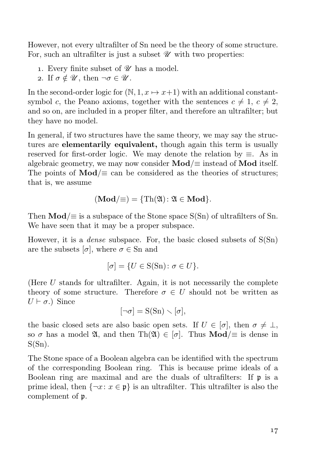However, not every ultrafilter of Sn need be the theory of some structure. For, such an ultrafilter is just a subset  $\mathcal U$  with two properties:

- 1. Every finite subset of  $\mathscr U$  has a model.
- 2. If  $\sigma \notin \mathscr{U}$ , then  $\neg \sigma \in \mathscr{U}$ .

In the second-order logic for  $(N, 1, x \mapsto x+1)$  with an additional constantsymbol c, the Peano axioms, together with the sentences  $c \neq 1, c \neq 2$ , and so on, are included in a proper filter, and therefore an ultrafilter; but they have no model.

In general, if two structures have the same theory, we may say the structures are **elementarily equivalent**, though again this term is usually reserved for first-order logic. We may denote the relation by  $\equiv$ . As in algebraic geometry, we may now consider  $\text{Mod}/\equiv$  instead of  $\text{Mod}$  itself. The points of  $\text{Mod}/\equiv$  can be considered as the theories of structures; that is, we assume

$$
(\mathbf{Mod}/\equiv) = \{ \mathrm{Th}(\mathfrak{A}) \colon \mathfrak{A} \in \mathbf{Mod} \}.
$$

Then  $\text{Mod}/\equiv$  is a subspace of the Stone space S(Sn) of ultrafilters of Sn. We have seen that it may be a proper subspace.

However, it is a *dense* subspace. For, the basic closed subsets of  $S(Sn)$ are the subsets  $[\sigma]$ , where  $\sigma \in \text{Sn}$  and

$$
[\sigma] = \{ U \in S(\text{Sn}) \colon \sigma \in U \}.
$$

(Here  $U$  stands for ultrafilter. Again, it is not necessarily the complete theory of some structure. Therefore  $\sigma \in U$  should not be written as  $U \vdash \sigma$ .) Since

$$
[\neg \sigma] = S(Sn) \smallsetminus [\sigma],
$$

the basic closed sets are also basic open sets. If  $U \in [\sigma]$ , then  $\sigma \neq \bot$ , so  $\sigma$  has a model  $\mathfrak{A}$ , and then Th $(\mathfrak{A}) \in [\sigma]$ . Thus **Mod**/ $\equiv$  is dense in  $S(Sn)$ .

The Stone space of a Boolean algebra can be identified with the spectrum of the corresponding Boolean ring. This is because prime ideals of a Boolean ring are maximal and are the duals of ultrafilters: If p is a prime ideal, then  $\{\neg x: x \in \mathfrak{p}\}\$ is an ultrafilter. This ultrafilter is also the complement of p.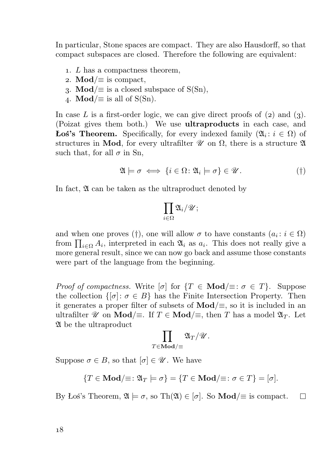In particular, Stone spaces are compact. They are also Hausdorff, so that compact subspaces are closed. Therefore the following are equivalent:

- . L has a compactness theorem,
- 2. Mod/ $\equiv$  is compact,
- 3. Mod/ $\equiv$  is a closed subspace of S(Sn),
- 4. **Mod**/ $\equiv$  is all of S(Sn).

In case L is a first-order logic, we can give direct proofs of  $(2)$  and  $(3)$ . (Poizat gives them both.) We use ultraproducts in each case, and **Łoś's Theorem.** Specifically, for every indexed family  $(\mathfrak{A}_i : i \in \Omega)$  of structures in Mod, for every ultrafilter  $\mathcal U$  on  $\Omega$ , there is a structure  $\mathfrak A$ such that, for all  $\sigma$  in Sn,

$$
\mathfrak{A} \models \sigma \iff \{i \in \Omega \colon \mathfrak{A}_i \models \sigma\} \in \mathscr{U}.\tag{\dagger}
$$

In fact,  $\mathfrak A$  can be taken as the ultraproduct denoted by

$$
\prod_{i\in\Omega}\mathfrak{A}_i/\mathscr{U};
$$

and when one proves (†), one will allow  $\sigma$  to have constants  $(a_i : i \in \Omega)$ from  $\prod_{i\in\Omega} A_i$ , interpreted in each  $\mathfrak{A}_i$  as  $a_i$ . This does not really give a more general result, since we can now go back and assume those constants were part of the language from the beginning.

*Proof of compactness.* Write  $[\sigma]$  for  $\{T \in \mathbf{Mod}\} \equiv : \sigma \in T\}$ . Suppose the collection  $\{[\sigma]: \sigma \in B\}$  has the Finite Intersection Property. Then it generates a proper filter of subsets of  $\text{Mod}/\equiv$ , so it is included in an ultrafilter  $\mathscr U$  on **Mod**/ $\equiv$ . If  $T \in \mathbf{Mod}/\equiv$ , then T has a model  $\mathfrak{A}_T$ . Let A be the ultraproduct

$$
\prod_{T\in\mathbf{Mod}/\equiv} \mathfrak{A}_T/\mathscr{U}.
$$

Suppose  $\sigma \in B$ , so that  $[\sigma] \in \mathscr{U}$ . We have

$$
\{T \in \mathbf{Mod}/\equiv : \mathfrak{A}_T \models \sigma\} = \{T \in \mathbf{Mod}/\equiv : \sigma \in T\} = [\sigma].
$$

By Łoś's Theorem,  $\mathfrak{A} \models \sigma$ , so Th $(\mathfrak{A}) \in [\sigma]$ . So **Mod**/ $\equiv$  is compact. П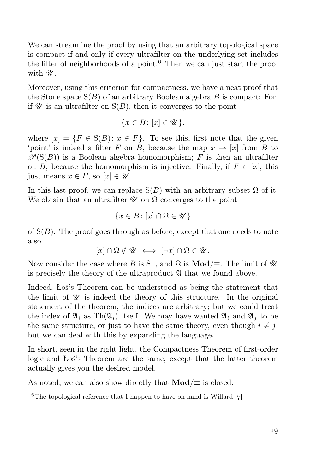We can streamline the proof by using that an arbitrary topological space is compact if and only if every ultrafilter on the underlying set includes the filter of neighborhoods of a point.<sup> $6$ </sup> Then we can just start the proof with  $\mathscr{U}$ .

Moreover, using this criterion for compactness, we have a neat proof that the Stone space  $S(B)$  of an arbitrary Boolean algebra B is compact: For, if  $\mathscr U$  is an ultrafilter on  $S(B)$ , then it converges to the point

$$
\{x \in B \colon [x] \in \mathscr{U}\},\
$$

where  $[x] = \{F \in S(B) : x \in F\}$ . To see this, first note that the given 'point' is indeed a filter F on B, because the map  $x \mapsto [x]$  from B to  $\mathscr{P}(S(B))$  is a Boolean algebra homomorphism; F is then an ultrafilter on B, because the homomorphism is injective. Finally, if  $F \in [x]$ , this just means  $x \in F$ , so  $[x] \in \mathscr{U}$ .

In this last proof, we can replace  $S(B)$  with an arbitrary subset  $\Omega$  of it. We obtain that an ultrafilter  $\mathscr U$  on  $\Omega$  converges to the point

$$
\{x\in B\colon [x]\cap\Omega\in\mathscr{U}\}
$$

of  $S(B)$ . The proof goes through as before, except that one needs to note also

 $[x] \cap \Omega \notin \mathscr{U} \iff [\neg x] \cap \Omega \in \mathscr{U}$ .

Now consider the case where B is Sn, and  $\Omega$  is **Mod**/ $\equiv$ . The limit of  $\mathscr U$ is precisely the theory of the ultraproduct  $\mathfrak A$  that we found above.

Indeed, Łoś's Theorem can be understood as being the statement that the limit of  $\mathscr U$  is indeed the theory of this structure. In the original statement of the theorem, the indices are arbitrary; but we could treat the index of  $\mathfrak{A}_i$  as Th $(\mathfrak{A}_i)$  itself. We may have wanted  $\mathfrak{A}_i$  and  $\mathfrak{A}_i$  to be the same structure, or just to have the same theory, even though  $i \neq j$ ; but we can deal with this by expanding the language.

In short, seen in the right light, the Compactness Theorem of first-order logic and Łoś's Theorem are the same, except that the latter theorem actually gives you the desired model.

As noted, we can also show directly that  $\text{Mod}/\equiv$  is closed:

<sup>&</sup>lt;sup>6</sup>The topological reference that I happen to have on hand is Willard  $[7]$ .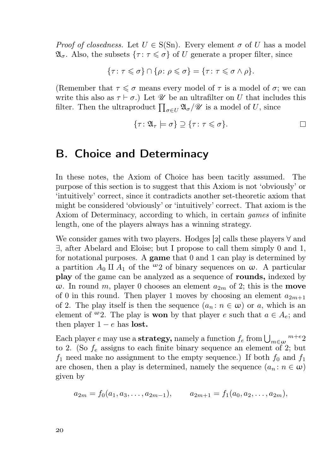*Proof of closedness.* Let  $U \in S(Sn)$ . Every element  $\sigma$  of U has a model  $\mathfrak{A}_{\sigma}$ . Also, the subsets  $\{\tau : \tau \leq \sigma\}$  of U generate a proper filter, since

$$
\{\tau \colon \tau \leqslant \sigma\} \cap \{\rho \colon \rho \leqslant \sigma\} = \{\tau \colon \tau \leqslant \sigma \wedge \rho\}.
$$

(Remember that  $\tau \leq \sigma$  means every model of  $\tau$  is a model of  $\sigma$ ; we can write this also as  $\tau \vdash \sigma$ .) Let  $\mathscr U$  be an ultrafilter on U that includes this filter. Then the ultraproduct  $\prod_{\sigma \in U} \mathfrak{A}_{\sigma} / \mathscr{U}$  is a model of U, since

$$
\{\tau \colon \mathfrak{A}_{\tau} \models \sigma\} \supseteq \{\tau \colon \tau \leqslant \sigma\}.
$$

#### B. Choice and Determinacy

In these notes, the Axiom of Choice has been tacitly assumed. The purpose of this section is to suggest that this Axiom is not 'obviously' or 'intuitively' correct, since it contradicts another set-theoretic axiom that might be considered 'obviously' or 'intuitively' correct. That axiom is the Axiom of Determinacy, according to which, in certain games of infinite length, one of the players always has a winning strategy.

We consider games with two players. Hodges [2] calls these players  $\forall$  and ∃, after Abelard and Eloise; but I propose to call them simply 0 and 1, for notational purposes. A game that  $0$  and  $1$  can play is determined by a partition  $A_0 \amalg A_1$  of the <sup>ω</sup>2 of binary sequences on  $\omega$ . A particular play of the game can be analyzed as a sequence of rounds, indexed by ω. In round m, player 0 chooses an element  $a_{2m}$  of 2; this is the **move** of 0 in this round. Then player 1 moves by choosing an element  $a_{2m+1}$ of 2. The play itself is then the sequence  $(a_n : n \in \omega)$  or a, which is an element of  $\omega_2$ . The play is **won** by that player e such that  $a \in A_e$ ; and then player  $1 - e$  has lost.

Each player  $e$  may use a strategy, namely a function  $f_e$  from  $\bigcup_{m\in\omega}$   $^{m+e}$  2 to 2. (So  $f_e$  assigns to each finite binary sequence an element of 2; but  $f_1$  need make no assignment to the empty sequence.) If both  $f_0$  and  $f_1$ are chosen, then a play is determined, namely the sequence  $(a_n : n \in \omega)$ given by

$$
a_{2m} = f_0(a_1, a_3, \dots, a_{2m-1}), \qquad a_{2m+1} = f_1(a_0, a_2, \dots, a_{2m}),
$$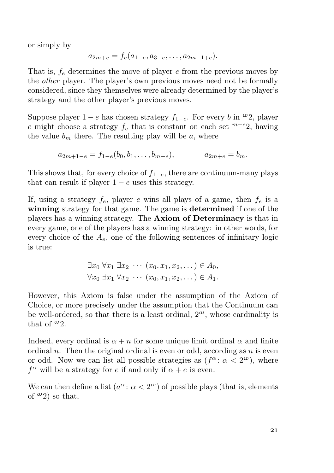or simply by

$$
a_{2m+e} = f_e(a_{1-e}, a_{3-e}, \dots, a_{2m-1+e}).
$$

That is,  $f_e$  determines the move of player  $e$  from the previous moves by the other player. The player's own previous moves need not be formally considered, since they themselves were already determined by the player's strategy and the other player's previous moves.

Suppose player  $1 - e$  has chosen strategy  $f_{1-e}$ . For every b in  $\omega_2$ , player e might choose a strategy  $f_e$  that is constant on each set  $^{m+e}2$ , having the value  $b_m$  there. The resulting play will be a, where

$$
a_{2m+1-e} = f_{1-e}(b_0, b_1, \dots, b_{m-e}), \qquad a_{2m+e} = b_m.
$$

This shows that, for every choice of  $f_{1-e}$ , there are continuum-many plays that can result if player  $1 - e$  uses this strategy.

If, using a strategy  $f_e$ , player e wins all plays of a game, then  $f_e$  is a winning strategy for that game. The game is determined if one of the players has a winning strategy. The Axiom of Determinacy is that in every game, one of the players has a winning strategy: in other words, for every choice of the  $A_e$ , one of the following sentences of infinitary logic is true:

$$
\exists x_0 \forall x_1 \exists x_2 \cdots (x_0, x_1, x_2, \dots) \in A_0,
$$
  

$$
\forall x_0 \exists x_1 \forall x_2 \cdots (x_0, x_1, x_2, \dots) \in A_1.
$$

However, this Axiom is false under the assumption of the Axiom of Choice, or more precisely under the assumption that the Continuum can be well-ordered, so that there is a least ordinal,  $2^{\omega}$ , whose cardinality is that of  $\omega_2$ .

Indeed, every ordinal is  $\alpha + n$  for some unique limit ordinal  $\alpha$  and finite ordinal n. Then the original ordinal is even or odd, according as n is even or odd. Now we can list all possible strategies as  $(f^{\alpha}: \alpha < 2^{\omega})$ , where  $f^{\alpha}$  will be a strategy for e if and only if  $\alpha + e$  is even.

We can then define a list  $(a^{\alpha}: \alpha < 2^{\omega})$  of possible plays (that is, elements of  $\omega_2$ ) so that.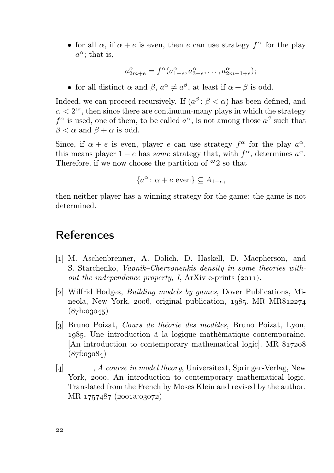• for all  $\alpha$ , if  $\alpha + e$  is even, then e can use strategy  $f^{\alpha}$  for the play  $a^{\alpha}$ ; that is,

$$
a_{2m+e}^{\alpha} = f^{\alpha}(a_{1-e}^{\alpha}, a_{3-e}^{\alpha}, \dots, a_{2m-1+e}^{\alpha});
$$

• for all distinct  $\alpha$  and  $\beta$ ,  $a^{\alpha} \neq a^{\beta}$ , at least if  $\alpha + \beta$  is odd.

Indeed, we can proceed recursively. If  $(a^{\beta} : \beta < \alpha)$  has been defined, and  $\alpha < 2^{\omega}$ , then since there are continuum-many plays in which the strategy  $f^{\alpha}$  is used, one of them, to be called  $a^{\alpha}$ , is not among those  $a^{\beta}$  such that  $\beta < \alpha$  and  $\beta + \alpha$  is odd.

Since, if  $\alpha + e$  is even, player e can use strategy  $f^{\alpha}$  for the play  $a^{\alpha}$ , this means player  $1 - e$  has some strategy that, with  $f^{\alpha}$ , determines  $a^{\alpha}$ . Therefore, if we now choose the partition of  $\omega_2$  so that

$$
\{a^{\alpha} \colon \alpha + e \text{ even}\} \subseteq A_{1-e},
$$

then neither player has a winning strategy for the game: the game is not determined.

### References

- [1] M. Aschenbrenner, A. Dolich, D. Haskell, D. Macpherson, and S. Starchenko, Vapnik–Chervonenkis density in some theories without the independence property, I, ArXiv e-prints  $(2011)$ .
- [2] Wilfrid Hodges, *Building models by games*, Dover Publications, Mineola, New York, 2006, original publication,  $1985$ . MR MR $812274$  $(87h:03045)$
- [] Bruno Poizat, Cours de théorie des modèles, Bruno Poizat, Lyon, , Une introduction à la logique mathématique contemporaine. [An introduction to contemporary mathematical logic]. MR  $(87f:03084)$
- [4]  $\Box$ , *A course in model theory*, Universitext, Springer-Verlag, New York, 2000, An introduction to contemporary mathematical logic, Translated from the French by Moses Klein and revised by the author. MR 1757487 (2001a:03072)